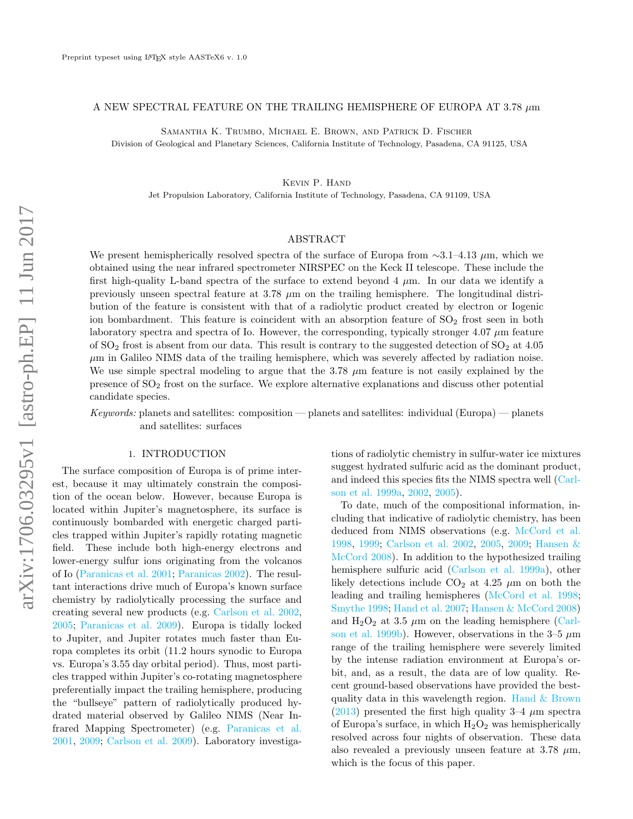# A NEW SPECTRAL FEATURE ON THE TRAILING HEMISPHERE OF EUROPA AT 3.78  $\mu$ m

Samantha K. Trumbo, Michael E. Brown, and Patrick D. Fischer

Division of Geological and Planetary Sciences, California Institute of Technology, Pasadena, CA 91125, USA

Kevin P. Hand

Jet Propulsion Laboratory, California Institute of Technology, Pasadena, CA 91109, USA

# ABSTRACT

We present hemispherically resolved spectra of the surface of Europa from  $\sim$ 3.1–4.13  $\mu$ m, which we obtained using the near infrared spectrometer NIRSPEC on the Keck II telescope. These include the first high-quality L-band spectra of the surface to extend beyond  $4 \mu$ m. In our data we identify a previously unseen spectral feature at 3.78  $\mu$ m on the trailing hemisphere. The longitudinal distribution of the feature is consistent with that of a radiolytic product created by electron or Iogenic ion bombardment. This feature is coincident with an absorption feature of  $SO<sub>2</sub>$  frost seen in both laboratory spectra and spectra of Io. However, the corresponding, typically stronger  $4.07 \mu m$  feature of  $SO_2$  frost is absent from our data. This result is contrary to the suggested detection of  $SO_2$  at 4.05  $\mu$ m in Galileo NIMS data of the trailing hemisphere, which was severely affected by radiation noise. We use simple spectral modeling to argue that the  $3.78 \mu m$  feature is not easily explained by the presence of  $SO<sub>2</sub>$  frost on the surface. We explore alternative explanations and discuss other potential candidate species.

Keywords: planets and satellites: composition — planets and satellites: individual (Europa) — planets and satellites: surfaces

## 1. INTRODUCTION

The surface composition of Europa is of prime interest, because it may ultimately constrain the composition of the ocean below. However, because Europa is located within Jupiter's magnetosphere, its surface is continuously bombarded with energetic charged particles trapped within Jupiter's rapidly rotating magnetic field. These include both high-energy electrons and lower-energy sulfur ions originating from the volcanos of Io [\(Paranicas et al.](#page-5-0) [2001;](#page-5-0) [Paranicas](#page-5-1) [2002\)](#page-5-1). The resultant interactions drive much of Europa's known surface chemistry by radiolytically processing the surface and creating several new products (e.g. [Carlson et al.](#page-5-2) [2002,](#page-5-2) [2005;](#page-5-3) [Paranicas et al.](#page-5-4) [2009\)](#page-5-4). Europa is tidally locked to Jupiter, and Jupiter rotates much faster than Europa completes its orbit (11.2 hours synodic to Europa vs. Europa's 3.55 day orbital period). Thus, most particles trapped within Jupiter's co-rotating magnetosphere preferentially impact the trailing hemisphere, producing the "bullseye" pattern of radiolytically produced hydrated material observed by Galileo NIMS (Near Infrared Mapping Spectrometer) (e.g. [Paranicas et al.](#page-5-0) [2001,](#page-5-0) [2009;](#page-5-4) [Carlson et al.](#page-5-5) [2009\)](#page-5-5). Laboratory investigations of radiolytic chemistry in sulfur-water ice mixtures suggest hydrated sulfuric acid as the dominant product, and indeed this species fits the NIMS spectra well [\(Carl](#page-5-6)[son et al.](#page-5-6) [1999a,](#page-5-6) [2002,](#page-5-2) [2005\)](#page-5-3).

To date, much of the compositional information, including that indicative of radiolytic chemistry, has been deduced from NIMS observations (e.g. [McCord et al.](#page-5-7) [1998,](#page-5-7) [1999;](#page-5-8) [Carlson et al.](#page-5-2) [2002,](#page-5-2) [2005,](#page-5-3) [2009;](#page-5-5) [Hansen &](#page-5-9) [McCord](#page-5-9) [2008\)](#page-5-9). In addition to the hypothesized trailing hemisphere sulfuric acid [\(Carlson et al.](#page-5-6) [1999a\)](#page-5-6), other likely detections include  $CO<sub>2</sub>$  at 4.25  $\mu$ m on both the leading and trailing hemispheres [\(McCord et al.](#page-5-7) [1998;](#page-5-7) [Smythe](#page-5-10) [1998;](#page-5-10) [Hand et al.](#page-5-11) [2007;](#page-5-11) [Hansen & McCord](#page-5-9) [2008\)](#page-5-9) and  $H_2O_2$  at 3.5  $\mu$ m on the leading hemisphere [\(Carl](#page-5-12)[son et al.](#page-5-12) [1999b\)](#page-5-12). However, observations in the 3–5  $\mu$ m range of the trailing hemisphere were severely limited by the intense radiation environment at Europa's orbit, and, as a result, the data are of low quality. Recent ground-based observations have provided the bestquality data in this wavelength region. [Hand & Brown](#page-5-13) [\(2013\)](#page-5-13) presented the first high quality  $3-4 \mu m$  spectra of Europa's surface, in which  $H_2O_2$  was hemispherically resolved across four nights of observation. These data also revealed a previously unseen feature at 3.78  $\mu$ m, which is the focus of this paper.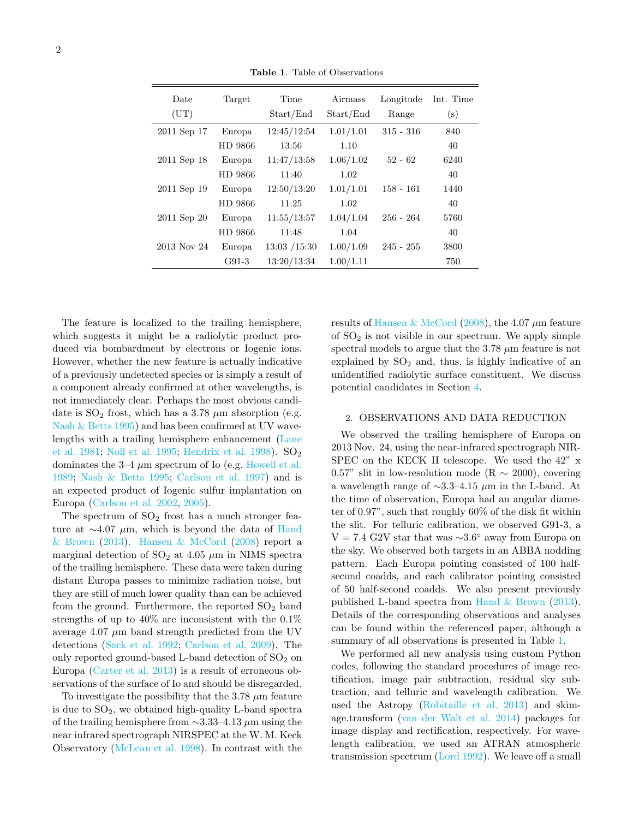| Date<br>(UT) | Target  | Time<br>Start/End | Airmass<br>Start/End | Longitude<br>Range | Int. Time<br>(s) |
|--------------|---------|-------------------|----------------------|--------------------|------------------|
| 2011 Sep 17  | Europa  | 12:45/12:54       | 1.01/1.01            | $315 - 316$        | 840              |
|              | HD 9866 | 13:56             | 1.10                 |                    | 40               |
| 2011 Sep 18  | Europa  | 11:47/13:58       | 1.06/1.02            | $52 - 62$          | 6240             |
|              | HD 9866 | 11:40             | 1.02                 |                    | 40               |
| 2011 Sep 19  | Europa  | 12:50/13:20       | 1.01/1.01            | $158 - 161$        | 1440             |
|              | HD 9866 | 11:25             | 1.02                 |                    | 40               |
| 2011 Sep 20  | Europa  | 11:55/13:57       | 1.04/1.04            | $256 - 264$        | 5760             |
|              | HD 9866 | 11:48             | 1.04                 |                    | 40               |
| 2013 Nov 24  | Europa  | 13:03 / 15:30     | 1.00/1.09            | $245 - 255$        | 3800             |
|              | $G91-3$ | 13:20/13:34       | 1.00/1.11            |                    | 750              |

<span id="page-1-0"></span>Table 1. Table of Observations

The feature is localized to the trailing hemisphere, which suggests it might be a radiolytic product produced via bombardment by electrons or Iogenic ions. However, whether the new feature is actually indicative of a previously undetected species or is simply a result of a component already confirmed at other wavelengths, is not immediately clear. Perhaps the most obvious candidate is  $SO_2$  frost, which has a 3.78  $\mu$ m absorption (e.g. [Nash & Betts](#page-5-14) [1995\)](#page-5-14) and has been confirmed at UV wavelengths with a trailing hemisphere enhancement [\(Lane](#page-5-15) [et al.](#page-5-15) [1981;](#page-5-15) [Noll et al.](#page-5-16) [1995;](#page-5-16) [Hendrix et al.](#page-5-17) [1998\)](#page-5-17).  $SO_2$ dominates the  $3-4 \mu m$  spectrum of Io (e.g. [Howell et al.](#page-5-18) [1989;](#page-5-18) [Nash & Betts](#page-5-14) [1995;](#page-5-14) [Carlson et al.](#page-5-19) [1997\)](#page-5-19) and is an expected product of Iogenic sulfur implantation on Europa [\(Carlson et al.](#page-5-2) [2002,](#page-5-2) [2005\)](#page-5-3).

The spectrum of  $SO<sub>2</sub>$  frost has a much stronger feature at  $\sim$ 4.07 µm, which is beyond the data of [Hand](#page-5-13)  $& Brown (2013)$  $& Brown (2013)$  $& Brown (2013)$ . Hansen  $& McCord (2008)$  $& McCord (2008)$  report a marginal detection of  $SO_2$  at 4.05  $\mu$ m in NIMS spectra of the trailing hemisphere. These data were taken during distant Europa passes to minimize radiation noise, but they are still of much lower quality than can be achieved from the ground. Furthermore, the reported  $SO<sub>2</sub>$  band strengths of up to 40% are inconsistent with the 0.1% average 4.07  $\mu$ m band strength predicted from the UV detections [\(Sack et al.](#page-5-20) [1992;](#page-5-20) [Carlson et al.](#page-5-5) [2009\)](#page-5-5). The only reported ground-based L-band detection of  $SO<sub>2</sub>$  on Europa [\(Carter et al.](#page-5-21) [2013\)](#page-5-21) is a result of erroneous observations of the surface of Io and should be disregarded.

To investigate the possibility that the 3.78  $\mu$ m feature is due to  $SO<sub>2</sub>$ , we obtained high-quality L-band spectra of the trailing hemisphere from ∼3.33–4.13 µm using the near infrared spectrograph NIRSPEC at the W. M. Keck Observatory [\(McLean et al.](#page-5-22) [1998\)](#page-5-22). In contrast with the

results of [Hansen & McCord](#page-5-9) [\(2008\)](#page-5-9), the 4.07  $\mu$ m feature of  $SO<sub>2</sub>$  is not visible in our spectrum. We apply simple spectral models to argue that the 3.78  $\mu$ m feature is not explained by  $SO_2$  and, thus, is highly indicative of an unidentified radiolytic surface constituent. We discuss potential candidates in Section [4.](#page-2-0)

#### 2. OBSERVATIONS AND DATA REDUCTION

We observed the trailing hemisphere of Europa on 2013 Nov. 24, using the near-infrared spectrograph NIR-SPEC on the KECK II telescope. We used the 42" x 0.57" slit in low-resolution mode (R  $\sim$  2000), covering a wavelength range of ∼3.3–4.15 µm in the L-band. At the time of observation, Europa had an angular diameter of 0.97", such that roughly 60% of the disk fit within the slit. For telluric calibration, we observed G91-3, a  $V = 7.4$  G2V star that was ~3.6° away from Europa on the sky. We observed both targets in an ABBA nodding pattern. Each Europa pointing consisted of 100 halfsecond coadds, and each calibrator pointing consisted of 50 half-second coadds. We also present previously published L-band spectra from [Hand & Brown](#page-5-13) [\(2013\)](#page-5-13). Details of the corresponding observations and analyses can be found within the referenced paper, although a summary of all observations is presented in Table [1.](#page-1-0)

We performed all new analysis using custom Python codes, following the standard procedures of image rectification, image pair subtraction, residual sky subtraction, and telluric and wavelength calibration. We used the Astropy [\(Robitaille et al.](#page-5-23) [2013\)](#page-5-23) and skimage.transform [\(van der Walt et al.](#page-5-24) [2014\)](#page-5-24) packages for image display and rectification, respectively. For wavelength calibration, we used an ATRAN atmospheric transmission spectrum [\(Lord](#page-5-25) [1992\)](#page-5-25). We leave off a small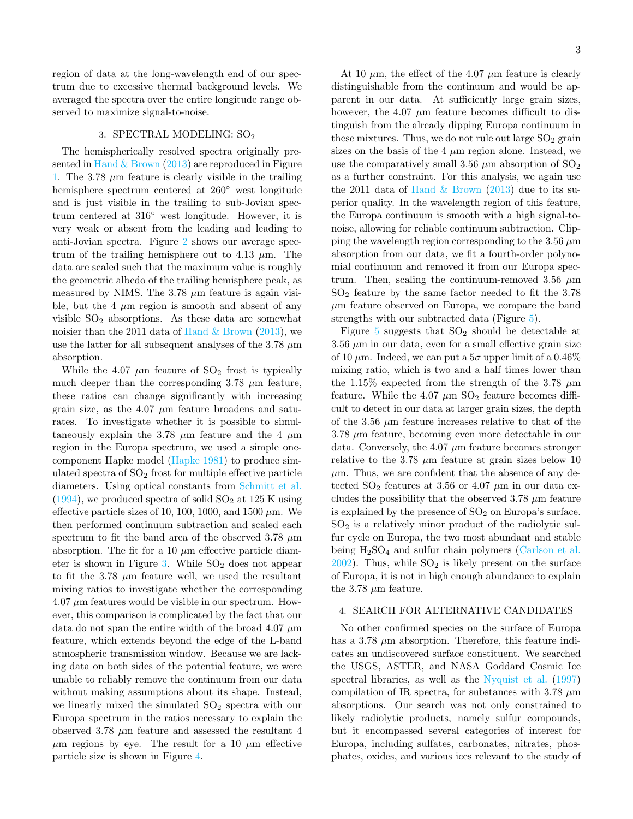region of data at the long-wavelength end of our spectrum due to excessive thermal background levels. We averaged the spectra over the entire longitude range observed to maximize signal-to-noise.

## 3. SPECTRAL MODELING: SO<sub>2</sub>

The hemispherically resolved spectra originally presented in Hand  $&$  Brown [\(2013\)](#page-5-13) are reproduced in Figure [1.](#page-3-0) The 3.78  $\mu$ m feature is clearly visible in the trailing hemisphere spectrum centered at 260◦ west longitude and is just visible in the trailing to sub-Jovian spectrum centered at 316◦ west longitude. However, it is very weak or absent from the leading and leading to anti-Jovian spectra. Figure [2](#page-3-0) shows our average spectrum of the trailing hemisphere out to 4.13  $\mu$ m. The data are scaled such that the maximum value is roughly the geometric albedo of the trailing hemisphere peak, as measured by NIMS. The  $3.78 \mu m$  feature is again visible, but the 4  $\mu$ m region is smooth and absent of any visible  $SO_2$  absorptions. As these data are somewhat noisier than the 2011 data of Hand  $\&$  Brown [\(2013\)](#page-5-13), we use the latter for all subsequent analyses of the 3.78  $\mu$ m absorption.

While the 4.07  $\mu$ m feature of SO<sub>2</sub> frost is typically much deeper than the corresponding 3.78  $\mu$ m feature, these ratios can change significantly with increasing grain size, as the 4.07  $\mu$ m feature broadens and saturates. To investigate whether it is possible to simultaneously explain the 3.78  $\mu$ m feature and the 4  $\mu$ m region in the Europa spectrum, we used a simple onecomponent Hapke model [\(Hapke](#page-5-26) [1981\)](#page-5-26) to produce simulated spectra of  $SO<sub>2</sub>$  frost for multiple effective particle diameters. Using optical constants from [Schmitt et al.](#page-5-27)  $(1994)$ , we produced spectra of solid  $SO<sub>2</sub>$  at 125 K using effective particle sizes of 10, 100, 1000, and 1500  $\mu$ m. We then performed continuum subtraction and scaled each spectrum to fit the band area of the observed 3.78  $\mu$ m absorption. The fit for a 10  $\mu$ m effective particle diam-eter is shown in Figure [3.](#page-3-0) While  $SO<sub>2</sub>$  does not appear to fit the 3.78  $\mu$ m feature well, we used the resultant mixing ratios to investigate whether the corresponding  $4.07 \mu m$  features would be visible in our spectrum. However, this comparison is complicated by the fact that our data do not span the entire width of the broad 4.07  $\mu$ m feature, which extends beyond the edge of the L-band atmospheric transmission window. Because we are lacking data on both sides of the potential feature, we were unable to reliably remove the continuum from our data without making assumptions about its shape. Instead, we linearly mixed the simulated  $SO<sub>2</sub>$  spectra with our Europa spectrum in the ratios necessary to explain the observed 3.78  $\mu$ m feature and assessed the resultant 4  $\mu$ m regions by eye. The result for a 10  $\mu$ m effective particle size is shown in Figure [4.](#page-3-0)

At 10  $\mu$ m, the effect of the 4.07  $\mu$ m feature is clearly distinguishable from the continuum and would be apparent in our data. At sufficiently large grain sizes, however, the 4.07  $\mu$ m feature becomes difficult to distinguish from the already dipping Europa continuum in these mixtures. Thus, we do not rule out large  $SO_2$  grain sizes on the basis of the 4  $\mu$ m region alone. Instead, we use the comparatively small 3.56  $\mu$ m absorption of SO<sub>2</sub> as a further constraint. For this analysis, we again use the 2011 data of Hand  $\&$  Brown [\(2013\)](#page-5-13) due to its superior quality. In the wavelength region of this feature, the Europa continuum is smooth with a high signal-tonoise, allowing for reliable continuum subtraction. Clipping the wavelength region corresponding to the 3.56  $\mu$ m absorption from our data, we fit a fourth-order polynomial continuum and removed it from our Europa spectrum. Then, scaling the continuum-removed 3.56  $\mu$ m  $SO<sub>2</sub>$  feature by the same factor needed to fit the 3.78  $\mu$ m feature observed on Europa, we compare the band strengths with our subtracted data (Figure [5\)](#page-3-0).

Figure [5](#page-3-0) suggests that  $SO_2$  should be detectable at  $3.56 \mu m$  in our data, even for a small effective grain size of 10  $\mu$ m. Indeed, we can put a  $5\sigma$  upper limit of a 0.46% mixing ratio, which is two and a half times lower than the 1.15% expected from the strength of the 3.78  $\mu$ m feature. While the 4.07  $\mu$ m SO<sub>2</sub> feature becomes difficult to detect in our data at larger grain sizes, the depth of the 3.56  $\mu$ m feature increases relative to that of the  $3.78 \mu m$  feature, becoming even more detectable in our data. Conversely, the 4.07  $\mu$ m feature becomes stronger relative to the 3.78  $\mu$ m feature at grain sizes below 10  $\mu$ m. Thus, we are confident that the absence of any detected  $SO_2$  features at 3.56 or 4.07  $\mu$ m in our data excludes the possibility that the observed 3.78  $\mu$ m feature is explained by the presence of  $SO<sub>2</sub>$  on Europa's surface.  $SO<sub>2</sub>$  is a relatively minor product of the radiolytic sulfur cycle on Europa, the two most abundant and stable being  $H_2SO_4$  and sulfur chain polymers [\(Carlson et al.](#page-5-2)  $2002$ ). Thus, while  $SO<sub>2</sub>$  is likely present on the surface of Europa, it is not in high enough abundance to explain the 3.78  $\mu$ m feature.

# <span id="page-2-0"></span>4. SEARCH FOR ALTERNATIVE CANDIDATES

No other confirmed species on the surface of Europa has a 3.78  $\mu$ m absorption. Therefore, this feature indicates an undiscovered surface constituent. We searched the USGS, ASTER, and NASA Goddard Cosmic Ice spectral libraries, as well as the [Nyquist et al.](#page-5-28) [\(1997\)](#page-5-28) compilation of IR spectra, for substances with 3.78  $\mu$ m absorptions. Our search was not only constrained to likely radiolytic products, namely sulfur compounds, but it encompassed several categories of interest for Europa, including sulfates, carbonates, nitrates, phosphates, oxides, and various ices relevant to the study of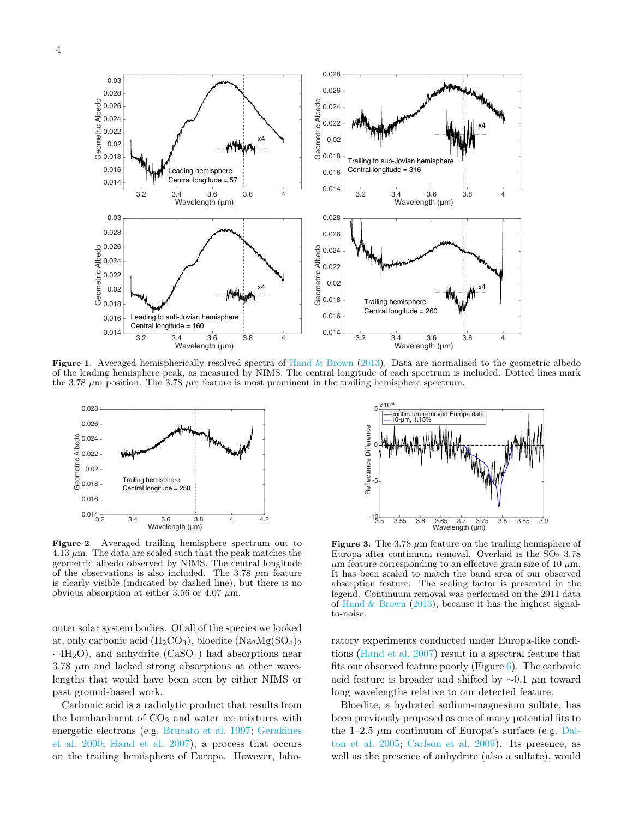

<span id="page-3-0"></span>Figure 1. Averaged hemispherically resolved spectra of Hand  $&$  Brown [\(2013\)](#page-5-13). Data are normalized to the geometric albedo of the leading hemisphere peak, as measured by NIMS. The central longitude of each spectrum is included. Dotted lines mark the 3.78  $\mu$ m position. The 3.78  $\mu$ m feature is most prominent in the trailing hemisphere spectrum.



Figure 2. Averaged trailing hemisphere spectrum out to  $4.13 \mu$ m. The data are scaled such that the peak matches the geometric albedo observed by NIMS. The central longitude of the observations is also included. The 3.78  $\mu$ m feature is clearly visible (indicated by dashed line), but there is no obvious absorption at either 3.56 or 4.07  $\mu$ m.

outer solar system bodies. Of all of the species we looked at, only carbonic acid  $(H_2CO_3)$ , bloedite  $(Na_2Mg(SO_4)_2)$  $\cdot$  4H<sub>2</sub>O), and anhydrite (CaSO<sub>4</sub>) had absorptions near  $3.78 \mu m$  and lacked strong absorptions at other wavelengths that would have been seen by either NIMS or past ground-based work.

Carbonic acid is a radiolytic product that results from the bombardment of  $CO<sub>2</sub>$  and water ice mixtures with energetic electrons (e.g. [Brucato et al.](#page-5-29) [1997;](#page-5-29) [Gerakines](#page-5-30) [et al.](#page-5-30) [2000;](#page-5-30) [Hand et al.](#page-5-11) [2007\)](#page-5-11), a process that occurs on the trailing hemisphere of Europa. However, labo-



**Figure 3.** The 3.78  $\mu$ m feature on the trailing hemisphere of Europa after continuum removal. Overlaid is the  $SO<sub>2</sub> 3.78$  $\mu$ m feature corresponding to an effective grain size of 10  $\mu$ m. It has been scaled to match the band area of our observed absorption feature. The scaling factor is presented in the legend. Continuum removal was performed on the 2011 data of Hand  $&$  Brown [\(2013\)](#page-5-13), because it has the highest signalto-noise.

ratory experiments conducted under Europa-like conditions [\(Hand et al.](#page-5-11) [2007\)](#page-5-11) result in a spectral feature that fits our observed feature poorly (Figure  $6$ ). The carbonic acid feature is broader and shifted by ∼0.1 µm toward long wavelengths relative to our detected feature.

Bloedite, a hydrated sodium-magnesium sulfate, has been previously proposed as one of many potential fits to the 1–2.5  $\mu$ m continuum of Europa's surface (e.g. [Dal](#page-5-31)[ton et al.](#page-5-31) [2005;](#page-5-31) [Carlson et al.](#page-5-5) [2009\)](#page-5-5). Its presence, as well as the presence of anhydrite (also a sulfate), would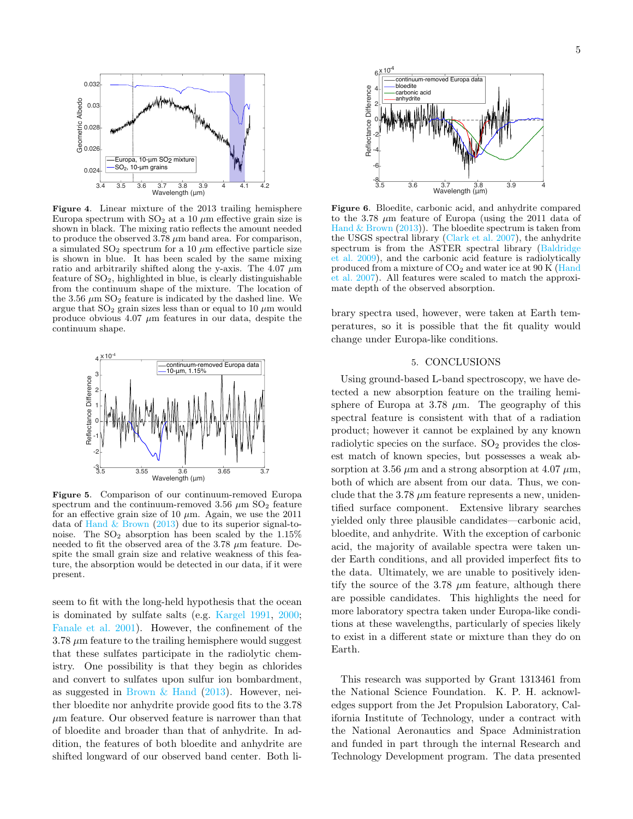

Figure 4. Linear mixture of the 2013 trailing hemisphere Europa spectrum with  $SO_2$  at a 10  $\mu$ m effective grain size is shown in black. The mixing ratio reflects the amount needed to produce the observed  $3.78 \mu m$  band area. For comparison, a simulated  $\text{SO}_2$  spectrum for a 10  $\mu\text{m}$  effective particle size is shown in blue. It has been scaled by the same mixing ratio and arbitrarily shifted along the y-axis. The 4.07  $\mu \mathrm{m}$ feature of  $SO<sub>2</sub>$ , highlighted in blue, is clearly distinguishable from the continuum shape of the mixture. The location of the 3.56  $\mu$ m SO<sub>2</sub> feature is indicated by the dashed line. We argue that  $SO_2$  grain sizes less than or equal to 10  $\mu$ m would produce obvious 4.07  $\mu$ m features in our data, despite the continuum shape.



Figure 5. Comparison of our continuum-removed Europa spectrum and the continuum-removed 3.56  $\mu$ m SO<sub>2</sub> feature for an effective grain size of 10  $\mu$ m. Again, we use the 2011 data of Hand  $&$  Brown [\(2013\)](#page-5-13) due to its superior signal-tonoise. The  $SO_2$  absorption has been scaled by the  $1.15\%$ needed to fit the observed area of the  $3.78 \mu m$  feature. Despite the small grain size and relative weakness of this feature, the absorption would be detected in our data, if it were present.

seem to fit with the long-held hypothesis that the ocean is dominated by sulfate salts (e.g. [Kargel](#page-5-32) [1991,](#page-5-32) [2000;](#page-5-33) [Fanale et al.](#page-5-34) [2001\)](#page-5-34). However, the confinement of the  $3.78 \mu m$  feature to the trailing hemisphere would suggest that these sulfates participate in the radiolytic chemistry. One possibility is that they begin as chlorides and convert to sulfates upon sulfur ion bombardment, as suggested in Brown  $\&$  Hand [\(2013\)](#page-5-35). However, neither bloedite nor anhydrite provide good fits to the 3.78  $\mu$ m feature. Our observed feature is narrower than that of bloedite and broader than that of anhydrite. In addition, the features of both bloedite and anhydrite are shifted longward of our observed band center. Both li-



Figure 6. Bloedite, carbonic acid, and anhydrite compared to the 3.78  $\mu$ m feature of Europa (using the 2011 data of Hand  $&$  Brown [\(2013\)](#page-5-13)). The bloedite spectrum is taken from the USGS spectral library [\(Clark et al.](#page-5-36) [2007\)](#page-5-36), the anhydrite spectrum is from the ASTER spectral library [\(Baldridge](#page-5-37) [et al.](#page-5-37) [2009\)](#page-5-37), and the carbonic acid feature is radiolytically produced from a mixture of  $CO<sub>2</sub>$  and water ice at 90 K [\(Hand](#page-5-11) [et al.](#page-5-11) [2007\)](#page-5-11). All features were scaled to match the approximate depth of the observed absorption.

brary spectra used, however, were taken at Earth temperatures, so it is possible that the fit quality would change under Europa-like conditions.

## 5. CONCLUSIONS

Using ground-based L-band spectroscopy, we have detected a new absorption feature on the trailing hemisphere of Europa at 3.78  $\mu$ m. The geography of this spectral feature is consistent with that of a radiation product; however it cannot be explained by any known radiolytic species on the surface.  $SO<sub>2</sub>$  provides the closest match of known species, but possesses a weak absorption at 3.56  $\mu$ m and a strong absorption at 4.07  $\mu$ m, both of which are absent from our data. Thus, we conclude that the 3.78  $\mu$ m feature represents a new, unidentified surface component. Extensive library searches yielded only three plausible candidates—carbonic acid, bloedite, and anhydrite. With the exception of carbonic acid, the majority of available spectra were taken under Earth conditions, and all provided imperfect fits to the data. Ultimately, we are unable to positively identify the source of the 3.78  $\mu$ m feature, although there are possible candidates. This highlights the need for more laboratory spectra taken under Europa-like conditions at these wavelengths, particularly of species likely to exist in a different state or mixture than they do on Earth.

This research was supported by Grant 1313461 from the National Science Foundation. K. P. H. acknowledges support from the Jet Propulsion Laboratory, California Institute of Technology, under a contract with the National Aeronautics and Space Administration and funded in part through the internal Research and Technology Development program. The data presented